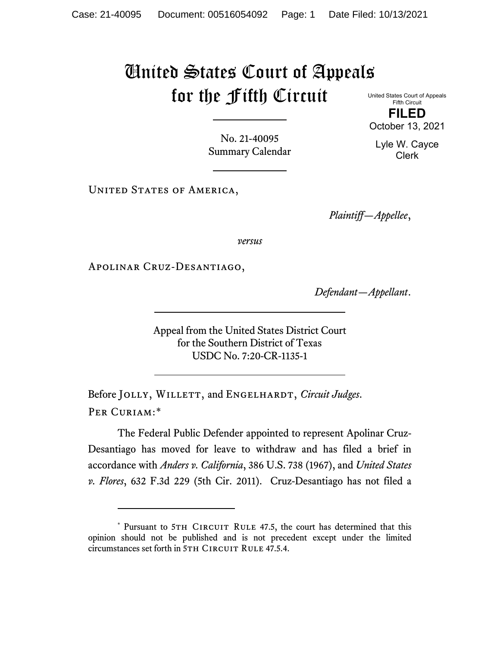## United States Court of Appeals for the Fifth Circuit

United States Court of Appeals Fifth Circuit **FILED** October 13, 2021

No. 21-40095 Summary Calendar

UNITED STATES OF AMERICA,

*Plaintiff—Appellee*,

*versus*

Apolinar Cruz-Desantiago,

*Defendant—Appellant*.

Appeal from the United States District Court for the Southern District of Texas USDC No. 7:20-CR-1135-1

Before JOLLY, WILLETT, and ENGELHARDT, *Circuit Judges*. Per Curiam:[\\*](#page-0-0)

The Federal Public Defender appointed to represent Apolinar Cruz-Desantiago has moved for leave to withdraw and has filed a brief in accordance with *Anders v. California*, 386 U.S. 738 (1967), and *United States v. Flores*, 632 F.3d 229 (5th Cir. 2011). Cruz-Desantiago has not filed a

Lyle W. Cayce Clerk

<span id="page-0-0"></span><sup>\*</sup> Pursuant to 5TH CIRCUIT RULE 47.5, the court has determined that this opinion should not be published and is not precedent except under the limited circumstances set forth in 5TH CIRCUIT RULE 47.5.4.